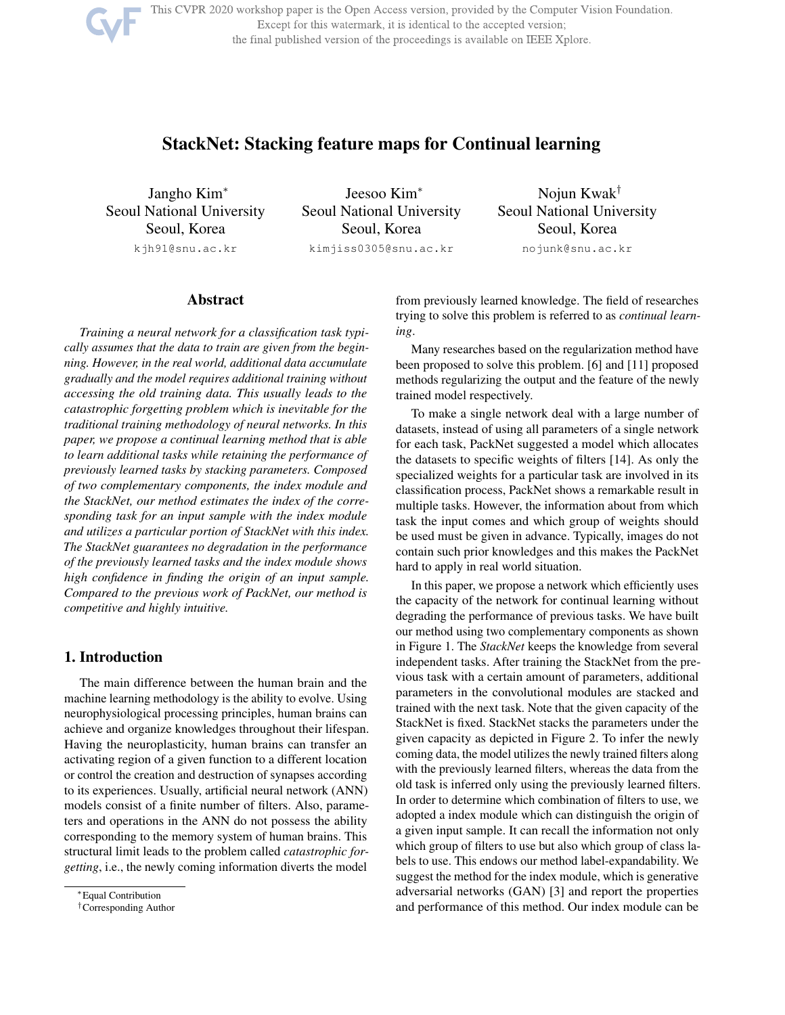This CVPR 2020 workshop paper is the Open Access version, provided by the Computer Vision Foundation. Except for this watermark, it is identical to the accepted version; the final published version of the proceedings is available on IEEE Xplore.

# StackNet: Stacking feature maps for Continual learning

Jangho Kim<sup>∗</sup> Seoul National University Seoul, Korea kjh91@snu.ac.kr

Jeesoo Kim<sup>∗</sup> Seoul National University Seoul, Korea kimjiss0305@snu.ac.kr

Nojun Kwak† Seoul National University Seoul, Korea nojunk@snu.ac.kr

## Abstract

*Training a neural network for a classification task typically assumes that the data to train are given from the beginning. However, in the real world, additional data accumulate gradually and the model requires additional training without accessing the old training data. This usually leads to the catastrophic forgetting problem which is inevitable for the traditional training methodology of neural networks. In this paper, we propose a continual learning method that is able to learn additional tasks while retaining the performance of previously learned tasks by stacking parameters. Composed of two complementary components, the index module and the StackNet, our method estimates the index of the corresponding task for an input sample with the index module and utilizes a particular portion of StackNet with this index. The StackNet guarantees no degradation in the performance of the previously learned tasks and the index module shows high confidence in finding the origin of an input sample. Compared to the previous work of PackNet, our method is competitive and highly intuitive.*

# 1. Introduction

The main difference between the human brain and the machine learning methodology is the ability to evolve. Using neurophysiological processing principles, human brains can achieve and organize knowledges throughout their lifespan. Having the neuroplasticity, human brains can transfer an activating region of a given function to a different location or control the creation and destruction of synapses according to its experiences. Usually, artificial neural network (ANN) models consist of a finite number of filters. Also, parameters and operations in the ANN do not possess the ability corresponding to the memory system of human brains. This structural limit leads to the problem called *catastrophic forgetting*, i.e., the newly coming information diverts the model

from previously learned knowledge. The field of researches trying to solve this problem is referred to as *continual learning*.

Many researches based on the regularization method have been proposed to solve this problem. [6] and [11] proposed methods regularizing the output and the feature of the newly trained model respectively.

To make a single network deal with a large number of datasets, instead of using all parameters of a single network for each task, PackNet suggested a model which allocates the datasets to specific weights of filters [14]. As only the specialized weights for a particular task are involved in its classification process, PackNet shows a remarkable result in multiple tasks. However, the information about from which task the input comes and which group of weights should be used must be given in advance. Typically, images do not contain such prior knowledges and this makes the PackNet hard to apply in real world situation.

In this paper, we propose a network which efficiently uses the capacity of the network for continual learning without degrading the performance of previous tasks. We have built our method using two complementary components as shown in Figure 1. The *StackNet* keeps the knowledge from several independent tasks. After training the StackNet from the previous task with a certain amount of parameters, additional parameters in the convolutional modules are stacked and trained with the next task. Note that the given capacity of the StackNet is fixed. StackNet stacks the parameters under the given capacity as depicted in Figure 2. To infer the newly coming data, the model utilizes the newly trained filters along with the previously learned filters, whereas the data from the old task is inferred only using the previously learned filters. In order to determine which combination of filters to use, we adopted a index module which can distinguish the origin of a given input sample. It can recall the information not only which group of filters to use but also which group of class labels to use. This endows our method label-expandability. We suggest the method for the index module, which is generative adversarial networks (GAN) [3] and report the properties and performance of this method. Our index module can be

<sup>∗</sup>Equal Contribution

<sup>†</sup>Corresponding Author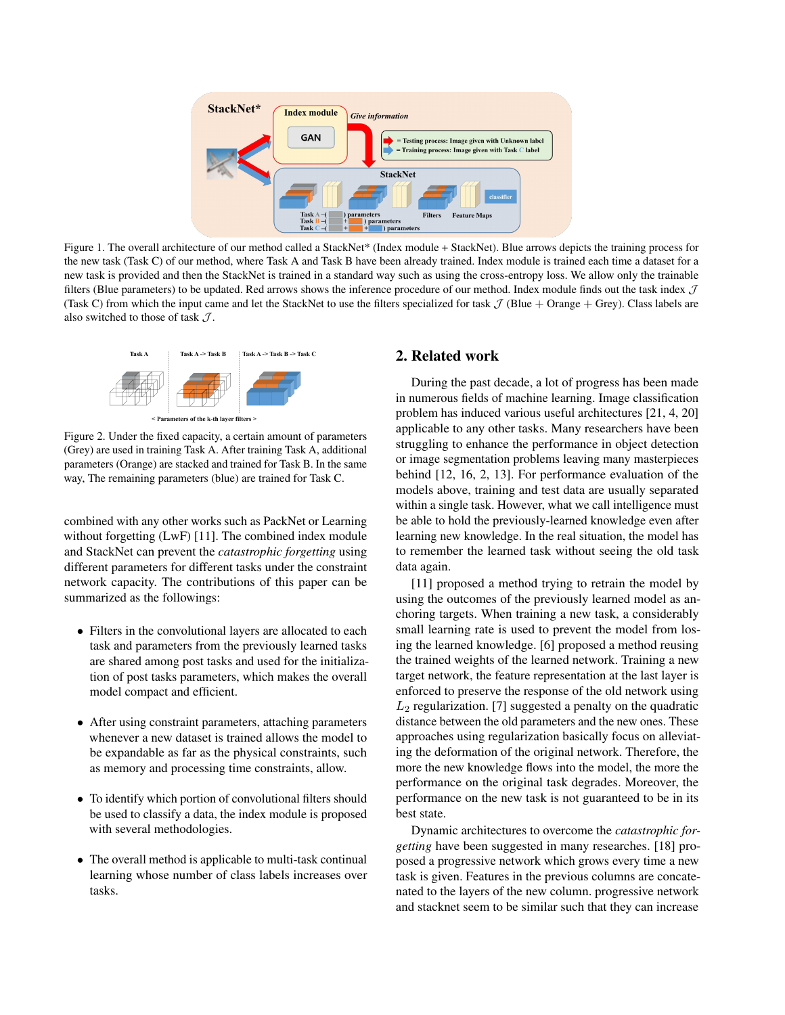

Figure 1. The overall architecture of our method called a StackNet\* (Index module + StackNet). Blue arrows depicts the training process for the new task (Task C) of our method, where Task A and Task B have been already trained. Index module is trained each time a dataset for a new task is provided and then the StackNet is trained in a standard way such as using the cross-entropy loss. We allow only the trainable filters (Blue parameters) to be updated. Red arrows shows the inference procedure of our method. Index module finds out the task index  $\mathcal J$ (Task C) from which the input came and let the StackNet to use the filters specialized for task  $\mathcal J$  (Blue + Orange + Grey). Class labels are also switched to those of task  $J$ .



Figure 2. Under the fixed capacity, a certain amount of parameters (Grey) are used in training Task A. After training Task A, additional parameters (Orange) are stacked and trained for Task B. In the same way, The remaining parameters (blue) are trained for Task C.

combined with any other works such as PackNet or Learning without forgetting (LwF) [11]. The combined index module and StackNet can prevent the *catastrophic forgetting* using different parameters for different tasks under the constraint network capacity. The contributions of this paper can be summarized as the followings:

- Filters in the convolutional layers are allocated to each task and parameters from the previously learned tasks are shared among post tasks and used for the initialization of post tasks parameters, which makes the overall model compact and efficient.
- After using constraint parameters, attaching parameters whenever a new dataset is trained allows the model to be expandable as far as the physical constraints, such as memory and processing time constraints, allow.
- To identify which portion of convolutional filters should be used to classify a data, the index module is proposed with several methodologies.
- The overall method is applicable to multi-task continual learning whose number of class labels increases over tasks.

# 2. Related work

During the past decade, a lot of progress has been made in numerous fields of machine learning. Image classification problem has induced various useful architectures [21, 4, 20] applicable to any other tasks. Many researchers have been struggling to enhance the performance in object detection or image segmentation problems leaving many masterpieces behind [12, 16, 2, 13]. For performance evaluation of the models above, training and test data are usually separated within a single task. However, what we call intelligence must be able to hold the previously-learned knowledge even after learning new knowledge. In the real situation, the model has to remember the learned task without seeing the old task data again.

[11] proposed a method trying to retrain the model by using the outcomes of the previously learned model as anchoring targets. When training a new task, a considerably small learning rate is used to prevent the model from losing the learned knowledge. [6] proposed a method reusing the trained weights of the learned network. Training a new target network, the feature representation at the last layer is enforced to preserve the response of the old network using  $L_2$  regularization. [7] suggested a penalty on the quadratic distance between the old parameters and the new ones. These approaches using regularization basically focus on alleviating the deformation of the original network. Therefore, the more the new knowledge flows into the model, the more the performance on the original task degrades. Moreover, the performance on the new task is not guaranteed to be in its best state.

Dynamic architectures to overcome the *catastrophic forgetting* have been suggested in many researches. [18] proposed a progressive network which grows every time a new task is given. Features in the previous columns are concatenated to the layers of the new column. progressive network and stacknet seem to be similar such that they can increase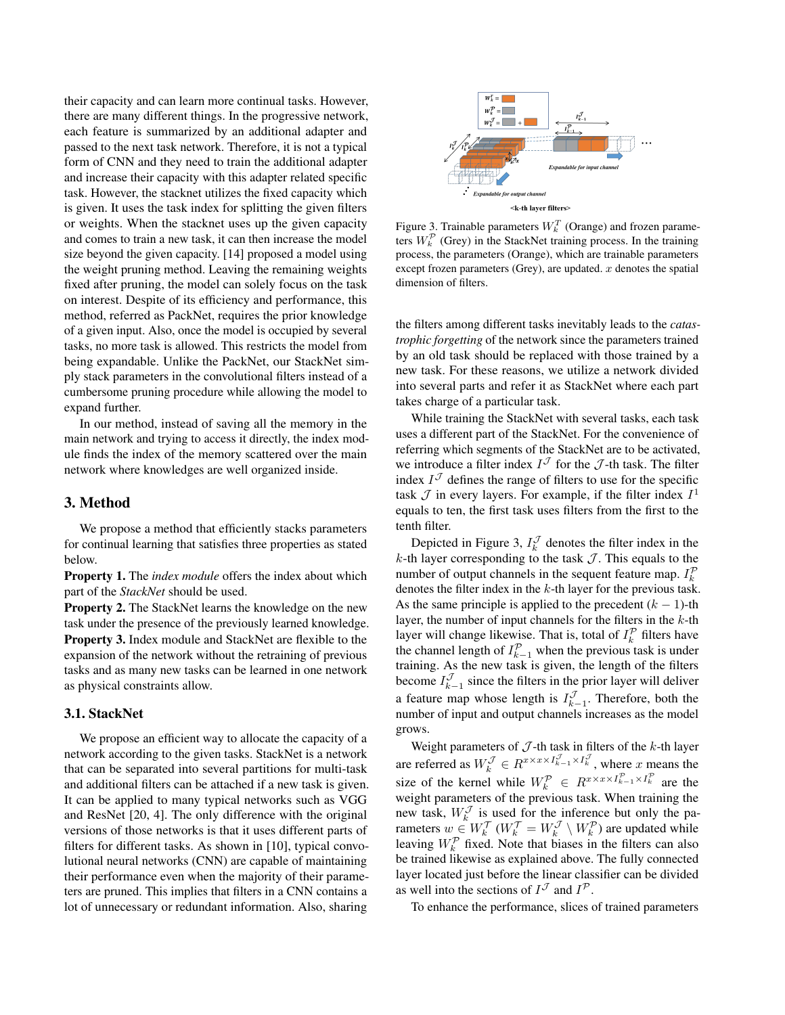their capacity and can learn more continual tasks. However, there are many different things. In the progressive network, each feature is summarized by an additional adapter and passed to the next task network. Therefore, it is not a typical form of CNN and they need to train the additional adapter and increase their capacity with this adapter related specific task. However, the stacknet utilizes the fixed capacity which is given. It uses the task index for splitting the given filters or weights. When the stacknet uses up the given capacity and comes to train a new task, it can then increase the model size beyond the given capacity. [14] proposed a model using the weight pruning method. Leaving the remaining weights fixed after pruning, the model can solely focus on the task on interest. Despite of its efficiency and performance, this method, referred as PackNet, requires the prior knowledge of a given input. Also, once the model is occupied by several tasks, no more task is allowed. This restricts the model from being expandable. Unlike the PackNet, our StackNet simply stack parameters in the convolutional filters instead of a cumbersome pruning procedure while allowing the model to expand further.

In our method, instead of saving all the memory in the main network and trying to access it directly, the index module finds the index of the memory scattered over the main network where knowledges are well organized inside.

### 3. Method

We propose a method that efficiently stacks parameters for continual learning that satisfies three properties as stated below.

Property 1. The *index module* offers the index about which part of the *StackNet* should be used.

Property 2. The StackNet learns the knowledge on the new task under the presence of the previously learned knowledge. Property 3. Index module and StackNet are flexible to the expansion of the network without the retraining of previous tasks and as many new tasks can be learned in one network as physical constraints allow.

# 3.1. StackNet

We propose an efficient way to allocate the capacity of a network according to the given tasks. StackNet is a network that can be separated into several partitions for multi-task and additional filters can be attached if a new task is given. It can be applied to many typical networks such as VGG and ResNet [20, 4]. The only difference with the original versions of those networks is that it uses different parts of filters for different tasks. As shown in [10], typical convolutional neural networks (CNN) are capable of maintaining their performance even when the majority of their parameters are pruned. This implies that filters in a CNN contains a lot of unnecessary or redundant information. Also, sharing



Figure 3. Trainable parameters  $W_k^T$  (Orange) and frozen parameters  $W_k^{\mathcal{P}}$  (Grey) in the StackNet training process. In the training process, the parameters (Orange), which are trainable parameters except frozen parameters (Grey), are updated.  $x$  denotes the spatial dimension of filters.

the filters among different tasks inevitably leads to the *catastrophic forgetting* of the network since the parameters trained by an old task should be replaced with those trained by a new task. For these reasons, we utilize a network divided into several parts and refer it as StackNet where each part takes charge of a particular task.

While training the StackNet with several tasks, each task uses a different part of the StackNet. For the convenience of referring which segments of the StackNet are to be activated, we introduce a filter index  $I^{\mathcal{J}}$  for the  $\mathcal{J}$ -th task. The filter index  $I^{\mathcal{J}}$  defines the range of filters to use for the specific task  $\mathcal J$  in every layers. For example, if the filter index  $I^1$ equals to ten, the first task uses filters from the first to the tenth filter.

Depicted in Figure 3,  $I_k^{\mathcal{J}}$  denotes the filter index in the k-th layer corresponding to the task  $\mathcal J$ . This equals to the number of output channels in the sequent feature map.  $I_k^{\mathcal{P}}$ denotes the filter index in the  $k$ -th layer for the previous task. As the same principle is applied to the precedent  $(k - 1)$ -th layer, the number of input channels for the filters in the  $k$ -th layer will change likewise. That is, total of  $I_k^{\mathcal{P}}$  filters have the channel length of  $I_{k-1}^{\mathcal{P}}$  when the previous task is under training. As the new task is given, the length of the filters become  $I_{k-1}^{\mathcal{J}}$  since the filters in the prior layer will deliver a feature map whose length is  $I_{k-1}^{\mathcal{J}}$ . Therefore, both the number of input and output channels increases as the model grows.

Weight parameters of  $J$ -th task in filters of the  $k$ -th layer are referred as  $W_k^{\mathcal{J}} \in R^{x \times x \times I_{k-1}^{\mathcal{J}} \times I_k^{\mathcal{J}}}$ , where x means the size of the kernel while  $W_k^{\mathcal{P}} \in R^{x \times x \times I_{k-1}^{\mathcal{P}} \times I_k^{\mathcal{P}}}$  are the weight parameters of the previous task. When training the new task,  $W_k^{\mathcal{J}}$  is used for the inference but only the parameters  $w \in W_k^{\mathcal{T}}(W_k^{\mathcal{T}} = W_k^{\mathcal{J}} \setminus W_k^{\mathcal{P}})$  are updated while leaving  $W_k^{\mathcal{P}}$  fixed. Note that biases in the filters can also be trained likewise as explained above. The fully connected layer located just before the linear classifier can be divided as well into the sections of  $I^{\mathcal{J}}$  and  $I^{\mathcal{P}}$ .

To enhance the performance, slices of trained parameters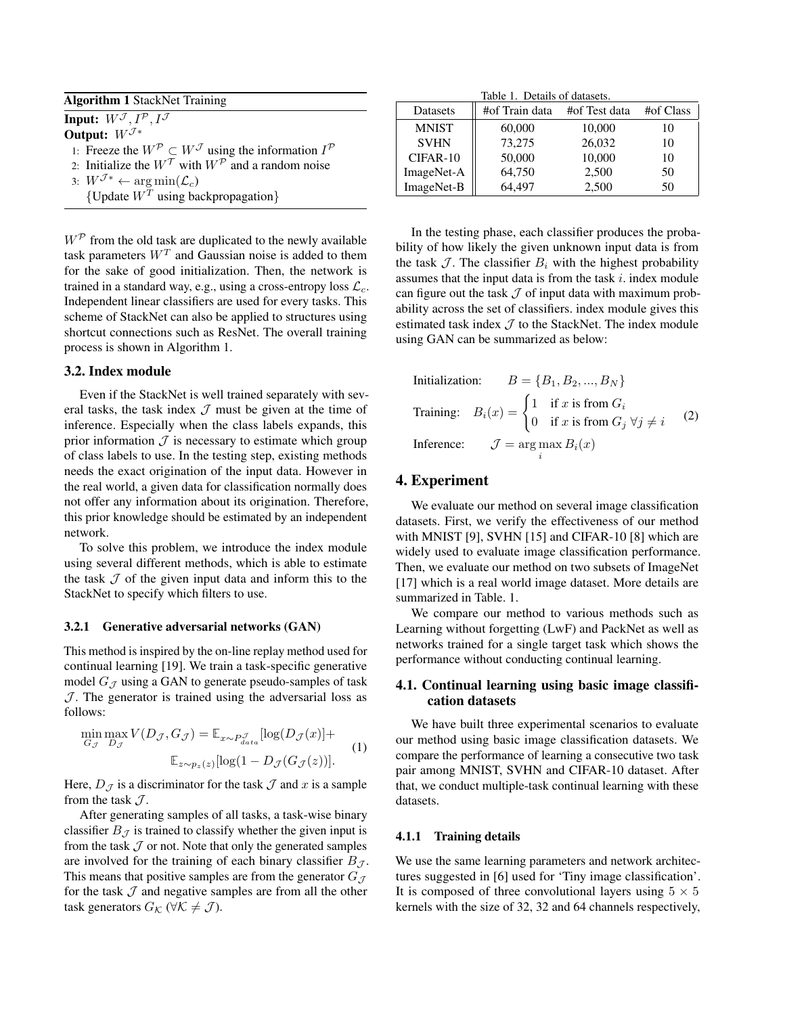| <b>Algorithm 1 StackNet Training</b>                                                            |  |
|-------------------------------------------------------------------------------------------------|--|
| <b>Input:</b> $W^{\mathcal{J}}, I^{\mathcal{P}}, I^{\mathcal{J}}$                               |  |
| Output: $W^{\mathcal{J}*}$                                                                      |  |
| 1: Freeze the $W^{\mathcal{P}} \subset W^{\mathcal{J}}$ using the information $I^{\mathcal{P}}$ |  |
| 2: Initialize the $W^{\mathcal{T}}$ with $W^{\mathcal{P}}$ and a random noise                   |  |
| 3: $W^{\mathcal{J}*} \leftarrow \arg \min(\mathcal{L}_c)$                                       |  |

{Update  $W<sup>T</sup>$  using backpropagation}

 $W^{\mathcal{P}}$  from the old task are duplicated to the newly available task parameters  $W<sup>T</sup>$  and Gaussian noise is added to them for the sake of good initialization. Then, the network is trained in a standard way, e.g., using a cross-entropy loss  $\mathcal{L}_c$ . Independent linear classifiers are used for every tasks. This scheme of StackNet can also be applied to structures using shortcut connections such as ResNet. The overall training process is shown in Algorithm 1.

### 3.2. Index module

Even if the StackNet is well trained separately with several tasks, the task index  $J$  must be given at the time of inference. Especially when the class labels expands, this prior information  $J$  is necessary to estimate which group of class labels to use. In the testing step, existing methods needs the exact origination of the input data. However in the real world, a given data for classification normally does not offer any information about its origination. Therefore, this prior knowledge should be estimated by an independent network.

To solve this problem, we introduce the index module using several different methods, which is able to estimate the task  $J$  of the given input data and inform this to the StackNet to specify which filters to use.

### 3.2.1 Generative adversarial networks (GAN)

This method is inspired by the on-line replay method used for continual learning [19]. We train a task-specific generative model  $G_{\mathcal{J}}$  using a GAN to generate pseudo-samples of task  $J$ . The generator is trained using the adversarial loss as follows:

$$
\min_{G_{\mathcal{J}}} \max_{D_{\mathcal{J}}} V(D_{\mathcal{J}}, G_{\mathcal{J}}) = \mathbb{E}_{x \sim P_{data}^{\mathcal{J}}} [\log(D_{\mathcal{J}}(x)] +
$$
  

$$
\mathbb{E}_{z \sim p_{z}(z)} [\log(1 - D_{\mathcal{J}}(G_{\mathcal{J}}(z))].
$$
 (1)

Here,  $D_{\mathcal{J}}$  is a discriminator for the task  $\mathcal J$  and  $x$  is a sample from the task  $J$ .

After generating samples of all tasks, a task-wise binary classifier  $B_{\mathcal{J}}$  is trained to classify whether the given input is from the task  $J$  or not. Note that only the generated samples are involved for the training of each binary classifier  $B_{\mathcal{I}}$ . This means that positive samples are from the generator  $G_{\mathcal{J}}$ for the task  $J$  and negative samples are from all the other task generators  $G_{\mathcal{K}}$  ( $\forall \mathcal{K} \neq \mathcal{J}$ ).

Table 1. Details of datasets.

| Datasets     | #of Train data | #of Test data | #of Class |
|--------------|----------------|---------------|-----------|
| <b>MNIST</b> | 60,000         | 10,000        | 10        |
| <b>SVHN</b>  | 73,275         | 26,032        | 10        |
| CIFAR-10     | 50,000         | 10,000        | 10        |
| ImageNet-A   | 64,750         | 2,500         | 50        |
| ImageNet-B   | 64.497         | 2,500         | 50        |

In the testing phase, each classifier produces the probability of how likely the given unknown input data is from the task  $\mathcal J$ . The classifier  $B_i$  with the highest probability assumes that the input data is from the task  $i$ . index module can figure out the task  $J$  of input data with maximum probability across the set of classifiers. index module gives this estimated task index  $J$  to the StackNet. The index module using GAN can be summarized as below:

Initialization:

\n
$$
B = \{B_1, B_2, \ldots, B_N\}
$$
\nTraining:

\n
$$
B_i(x) = \begin{cases} 1 & \text{if } x \text{ is from } G_i \\ 0 & \text{if } x \text{ is from } G_j \,\forall j \neq i \end{cases}
$$
\n(2)

\nInference:

\n
$$
\mathcal{J} = \arg\max_i B_i(x)
$$

### 4. Experiment

We evaluate our method on several image classification datasets. First, we verify the effectiveness of our method with MNIST [9], SVHN [15] and CIFAR-10 [8] which are widely used to evaluate image classification performance. Then, we evaluate our method on two subsets of ImageNet [17] which is a real world image dataset. More details are summarized in Table. 1.

We compare our method to various methods such as Learning without forgetting (LwF) and PackNet as well as networks trained for a single target task which shows the performance without conducting continual learning.

# 4.1. Continual learning using basic image classification datasets

We have built three experimental scenarios to evaluate our method using basic image classification datasets. We compare the performance of learning a consecutive two task pair among MNIST, SVHN and CIFAR-10 dataset. After that, we conduct multiple-task continual learning with these datasets.

#### 4.1.1 Training details

We use the same learning parameters and network architectures suggested in [6] used for 'Tiny image classification'. It is composed of three convolutional layers using  $5 \times 5$ kernels with the size of 32, 32 and 64 channels respectively,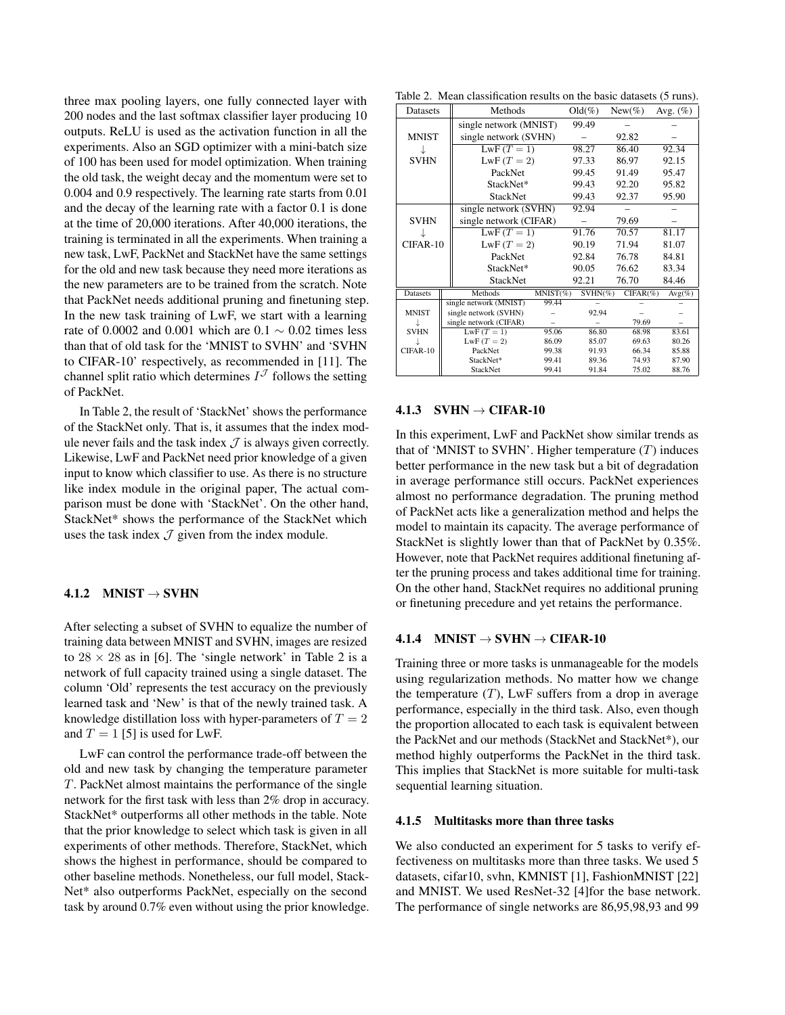three max pooling layers, one fully connected layer with 200 nodes and the last softmax classifier layer producing 10 outputs. ReLU is used as the activation function in all the experiments. Also an SGD optimizer with a mini-batch size of 100 has been used for model optimization. When training the old task, the weight decay and the momentum were set to 0.004 and 0.9 respectively. The learning rate starts from 0.01 and the decay of the learning rate with a factor 0.1 is done at the time of 20,000 iterations. After 40,000 iterations, the training is terminated in all the experiments. When training a new task, LwF, PackNet and StackNet have the same settings for the old and new task because they need more iterations as the new parameters are to be trained from the scratch. Note that PackNet needs additional pruning and finetuning step. In the new task training of LwF, we start with a learning rate of 0.0002 and 0.001 which are  $0.1 \sim 0.02$  times less than that of old task for the 'MNIST to SVHN' and 'SVHN to CIFAR-10' respectively, as recommended in [11]. The channel split ratio which determines  $I^{\mathcal{J}}$  follows the setting of PackNet.

In Table 2, the result of 'StackNet' shows the performance of the StackNet only. That is, it assumes that the index module never fails and the task index  $\mathcal J$  is always given correctly. Likewise, LwF and PackNet need prior knowledge of a given input to know which classifier to use. As there is no structure like index module in the original paper, The actual comparison must be done with 'StackNet'. On the other hand, StackNet\* shows the performance of the StackNet which uses the task index  $J$  given from the index module.

# 4.1.2 MNIST  $\rightarrow$  SVHN

After selecting a subset of SVHN to equalize the number of training data between MNIST and SVHN, images are resized to  $28 \times 28$  as in [6]. The 'single network' in Table 2 is a network of full capacity trained using a single dataset. The column 'Old' represents the test accuracy on the previously learned task and 'New' is that of the newly trained task. A knowledge distillation loss with hyper-parameters of  $T = 2$ and  $T = 1$  [5] is used for LwF.

LwF can control the performance trade-off between the old and new task by changing the temperature parameter T. PackNet almost maintains the performance of the single network for the first task with less than 2% drop in accuracy. StackNet\* outperforms all other methods in the table. Note that the prior knowledge to select which task is given in all experiments of other methods. Therefore, StackNet, which shows the highest in performance, should be compared to other baseline methods. Nonetheless, our full model, Stack-Net\* also outperforms PackNet, especially on the second task by around 0.7% even without using the prior knowledge.

Table 2. Mean classification results on the basic datasets (5 runs).

| Datasets        |  | Methods                |             | $Old(\%)$  | $New(\%)$    | Avg. $(\%)$ |
|-----------------|--|------------------------|-------------|------------|--------------|-------------|
|                 |  | single network (MNIST) |             | 99.49      |              |             |
| <b>MNIST</b>    |  | single network (SVHN)  |             |            | 92.82        |             |
|                 |  | $LwF(T = 1)$           |             | 98.27      | 86.40        | 92.34       |
| <b>SVHN</b>     |  | LwF $(T = 2)$          |             | 97.33      | 86.97        | 92.15       |
|                 |  | PackNet                |             | 99.45      | 91.49        | 95.47       |
|                 |  | StackNet*              |             | 99.43      | 92.20        | 95.82       |
|                 |  | <b>StackNet</b>        |             | 99.43      | 92.37        | 95.90       |
|                 |  | single network (SVHN)  |             | 92.94      |              |             |
| <b>SVHN</b>     |  | single network (CIFAR) |             |            | 79.69        |             |
|                 |  | LwF $(T = 1)$          |             | 91.76      | 70.57        | 81.17       |
| CIFAR-10        |  | LwF $(T = 2)$          |             | 90.19      | 71.94        | 81.07       |
|                 |  | PackNet                |             | 92.84      | 76.78        | 84.81       |
|                 |  | StackNet*              |             | 90.05      | 76.62        | 83.34       |
|                 |  | <b>StackNet</b>        |             | 92.21      | 76.70        | 84.46       |
| <b>Datasets</b> |  | Methods                | $MNIST(\%)$ | $SVHN(\%)$ | $CIFAR(\% )$ | $Avg(\%)$   |
|                 |  | single network (MNIST) | 99.44       |            |              |             |
| <b>MNIST</b>    |  | single network (SVHN)  |             | 92.94      |              |             |
|                 |  | single network (CIFAR) |             |            | 79.69        |             |
| <b>SVHN</b>     |  | $LwF(T = 1)$           | 95.06       | 86.80      | 68.98        | 83.61       |
|                 |  | $LwF(T = 2)$           | 86.09       | 85.07      | 69.63        | 80.26       |
| CIFAR-10        |  | PackNet                | 99.38       | 91.93      | 66.34        | 85.88       |
|                 |  | StackNet*              | 99.41       | 89.36      | 74.93        | 87.90       |
|                 |  | <b>StackNet</b>        | 99.41       | 91.84      | 75.02        | 88.76       |

## $4.1.3$  SVHN  $\rightarrow$  CIFAR-10

In this experiment, LwF and PackNet show similar trends as that of 'MNIST to SVHN'. Higher temperature  $(T)$  induces better performance in the new task but a bit of degradation in average performance still occurs. PackNet experiences almost no performance degradation. The pruning method of PackNet acts like a generalization method and helps the model to maintain its capacity. The average performance of StackNet is slightly lower than that of PackNet by 0.35%. However, note that PackNet requires additional finetuning after the pruning process and takes additional time for training. On the other hand, StackNet requires no additional pruning or finetuning precedure and yet retains the performance.

#### 4.1.4 MNIST  $\rightarrow$  SVHN  $\rightarrow$  CIFAR-10

Training three or more tasks is unmanageable for the models using regularization methods. No matter how we change the temperature  $(T)$ , LwF suffers from a drop in average performance, especially in the third task. Also, even though the proportion allocated to each task is equivalent between the PackNet and our methods (StackNet and StackNet\*), our method highly outperforms the PackNet in the third task. This implies that StackNet is more suitable for multi-task sequential learning situation.

#### 4.1.5 Multitasks more than three tasks

We also conducted an experiment for 5 tasks to verify effectiveness on multitasks more than three tasks. We used 5 datasets, cifar10, svhn, KMNIST [1], FashionMNIST [22] and MNIST. We used ResNet-32 [4]for the base network. The performance of single networks are 86,95,98,93 and 99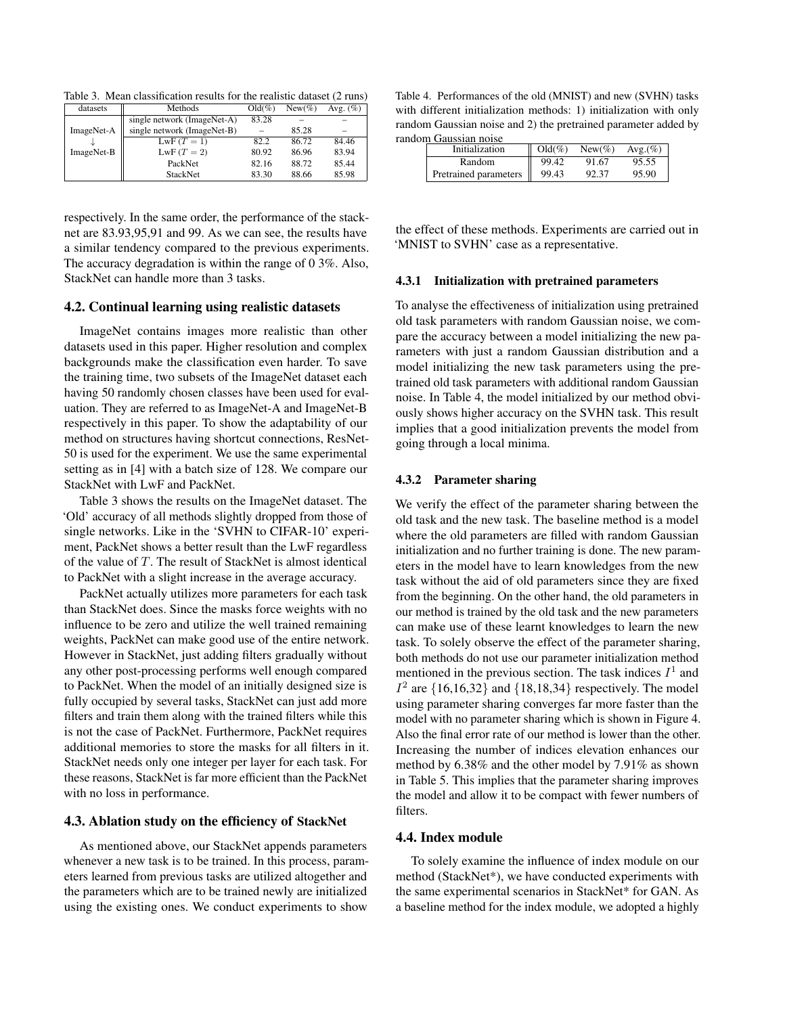Table 3. Mean classification results for the realistic dataset (2 runs)

| datasets   | Methods                     | $Old(\%)$ | $New(\%)$ | Avg. $(\%)$ |
|------------|-----------------------------|-----------|-----------|-------------|
|            | single network (ImageNet-A) | 83.28     |           |             |
| ImageNet-A | single network (ImageNet-B) |           | 85.28     |             |
|            | $LwF(T = 1)$                | 82.2      | 86.72     | 84.46       |
| ImageNet-B | $LwF(T = 2)$                | 80.92     | 86.96     | 83.94       |
|            | PackNet                     | 82.16     | 88.72     | 85.44       |
|            | <b>StackNet</b>             | 83.30     | 88.66     | 85.98       |

respectively. In the same order, the performance of the stacknet are 83.93,95,91 and 99. As we can see, the results have a similar tendency compared to the previous experiments. The accuracy degradation is within the range of 0 3%. Also, StackNet can handle more than 3 tasks.

#### 4.2. Continual learning using realistic datasets

ImageNet contains images more realistic than other datasets used in this paper. Higher resolution and complex backgrounds make the classification even harder. To save the training time, two subsets of the ImageNet dataset each having 50 randomly chosen classes have been used for evaluation. They are referred to as ImageNet-A and ImageNet-B respectively in this paper. To show the adaptability of our method on structures having shortcut connections, ResNet-50 is used for the experiment. We use the same experimental setting as in [4] with a batch size of 128. We compare our StackNet with LwF and PackNet.

Table 3 shows the results on the ImageNet dataset. The 'Old' accuracy of all methods slightly dropped from those of single networks. Like in the 'SVHN to CIFAR-10' experiment, PackNet shows a better result than the LwF regardless of the value of T. The result of StackNet is almost identical to PackNet with a slight increase in the average accuracy.

PackNet actually utilizes more parameters for each task than StackNet does. Since the masks force weights with no influence to be zero and utilize the well trained remaining weights, PackNet can make good use of the entire network. However in StackNet, just adding filters gradually without any other post-processing performs well enough compared to PackNet. When the model of an initially designed size is fully occupied by several tasks, StackNet can just add more filters and train them along with the trained filters while this is not the case of PackNet. Furthermore, PackNet requires additional memories to store the masks for all filters in it. StackNet needs only one integer per layer for each task. For these reasons, StackNet is far more efficient than the PackNet with no loss in performance.

#### 4.3. Ablation study on the efficiency of StackNet

As mentioned above, our StackNet appends parameters whenever a new task is to be trained. In this process, parameters learned from previous tasks are utilized altogether and the parameters which are to be trained newly are initialized using the existing ones. We conduct experiments to show

Table 4. Performances of the old (MNIST) and new (SVHN) tasks with different initialization methods: 1) initialization with only random Gaussian noise and 2) the pretrained parameter added by random Gaussian noise

| нионн Сайзман нөнөс   |           |           |         |
|-----------------------|-----------|-----------|---------|
| Initialization        | $Old(\%)$ | $New(\%)$ | Avg.(%) |
| Random                | 99.42     | 91.67     | 95.55   |
| Pretrained parameters | 99.43     | 92.37     | 95.90   |

the effect of these methods. Experiments are carried out in 'MNIST to SVHN' case as a representative.

#### 4.3.1 Initialization with pretrained parameters

To analyse the effectiveness of initialization using pretrained old task parameters with random Gaussian noise, we compare the accuracy between a model initializing the new parameters with just a random Gaussian distribution and a model initializing the new task parameters using the pretrained old task parameters with additional random Gaussian noise. In Table 4, the model initialized by our method obviously shows higher accuracy on the SVHN task. This result implies that a good initialization prevents the model from going through a local minima.

#### 4.3.2 Parameter sharing

We verify the effect of the parameter sharing between the old task and the new task. The baseline method is a model where the old parameters are filled with random Gaussian initialization and no further training is done. The new parameters in the model have to learn knowledges from the new task without the aid of old parameters since they are fixed from the beginning. On the other hand, the old parameters in our method is trained by the old task and the new parameters can make use of these learnt knowledges to learn the new task. To solely observe the effect of the parameter sharing, both methods do not use our parameter initialization method mentioned in the previous section. The task indices  $I^1$  and  $I<sup>2</sup>$  are {16,16,32} and {18,18,34} respectively. The model using parameter sharing converges far more faster than the model with no parameter sharing which is shown in Figure 4. Also the final error rate of our method is lower than the other. Increasing the number of indices elevation enhances our method by 6.38% and the other model by 7.91% as shown in Table 5. This implies that the parameter sharing improves the model and allow it to be compact with fewer numbers of filters.

### 4.4. Index module

To solely examine the influence of index module on our method (StackNet\*), we have conducted experiments with the same experimental scenarios in StackNet\* for GAN. As a baseline method for the index module, we adopted a highly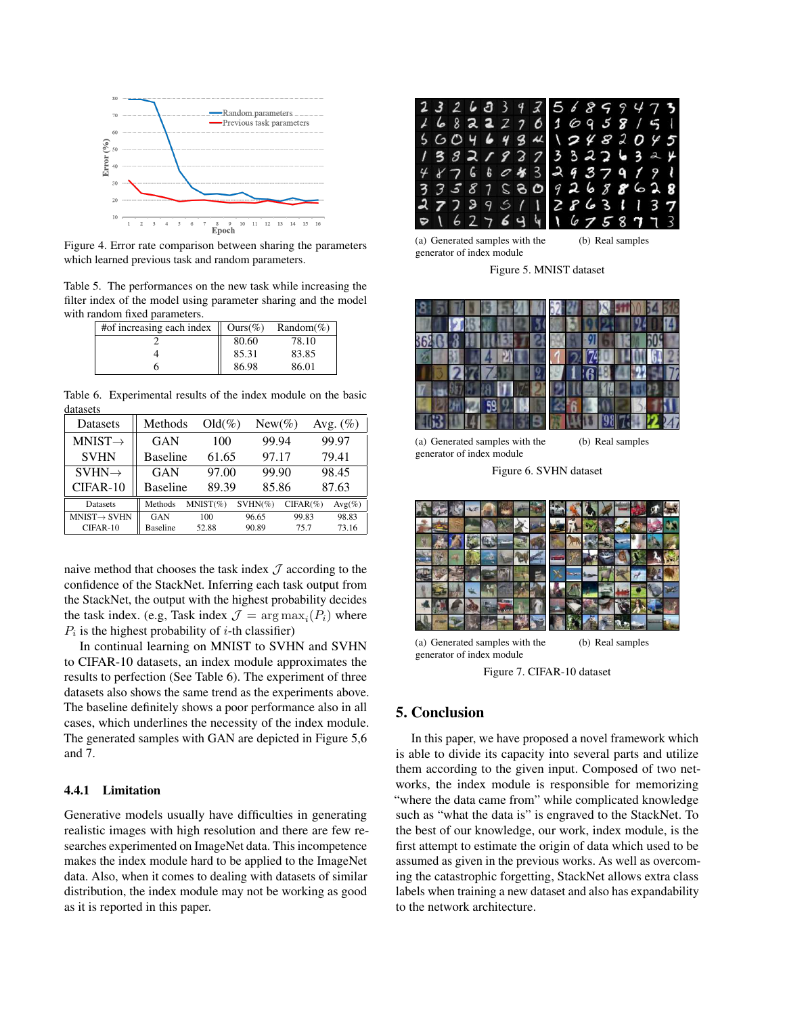

Figure 4. Error rate comparison between sharing the parameters which learned previous task and random parameters.

Table 5. The performances on the new task while increasing the filter index of the model using parameter sharing and the model with random fixed parameters.

| #of increasing each index $\parallel$ | $Ours(\%)$ | Random(%) |
|---------------------------------------|------------|-----------|
|                                       | 80.60      | 78.10     |
|                                       | 85.31      | 83.85     |
|                                       | 86.98      | 86.01     |

Table 6. Experimental results of the index module on the basic datasets

| Datasets                 | Methods         | $Old(\%)$   | $New(\%)$  |             | Avg. $(\%)$ |
|--------------------------|-----------------|-------------|------------|-------------|-------------|
| $MNIST \rightarrow$      | GAN             | 100         | 99.94      |             | 99.97       |
| <b>SVHN</b>              | <b>Baseline</b> | 61.65       | 97.17      |             | 79.41       |
| $SVHN \rightarrow$       | GAN             | 97.00       | 99.90      |             | 98.45       |
| CIFAR-10                 | <b>Baseline</b> | 89.39       | 85.86      |             | 87.63       |
| <b>Datasets</b>          | Methods         | $MNIST(\%)$ | $SVHN(\%)$ | $CIFAR(\%)$ | $Avg(\%)$   |
| $MNIST \rightarrow SVHN$ | GAN             | 100         | 96.65      | 99.83       | 98.83       |
| CIFAR-10                 | <b>Baseline</b> | 52.88       | 90.89      | 75.7        | 73.16       |

naive method that chooses the task index  $J$  according to the confidence of the StackNet. Inferring each task output from the StackNet, the output with the highest probability decides the task index. (e.g, Task index  $\mathcal{J} = \arg \max_i (P_i)$  where  $P_i$  is the highest probability of *i*-th classifier)

In continual learning on MNIST to SVHN and SVHN to CIFAR-10 datasets, an index module approximates the results to perfection (See Table 6). The experiment of three datasets also shows the same trend as the experiments above. The baseline definitely shows a poor performance also in all cases, which underlines the necessity of the index module. The generated samples with GAN are depicted in Figure 5,6 and 7.

### 4.4.1 Limitation

Generative models usually have difficulties in generating realistic images with high resolution and there are few researches experimented on ImageNet data. This incompetence makes the index module hard to be applied to the ImageNet data. Also, when it comes to dealing with datasets of similar distribution, the index module may not be working as good as it is reported in this paper.



(a) Generated samples with the generator of index module

(b) Real samples

Figure 5. MNIST dataset



(a) Generated samples with the generator of index module

Figure 6. SVHN dataset



(a) Generated samples with the generator of index module (b) Real samples

Figure 7. CIFAR-10 dataset

# 5. Conclusion

In this paper, we have proposed a novel framework which is able to divide its capacity into several parts and utilize them according to the given input. Composed of two networks, the index module is responsible for memorizing "where the data came from" while complicated knowledge such as "what the data is" is engraved to the StackNet. To the best of our knowledge, our work, index module, is the first attempt to estimate the origin of data which used to be assumed as given in the previous works. As well as overcoming the catastrophic forgetting, StackNet allows extra class labels when training a new dataset and also has expandability to the network architecture.